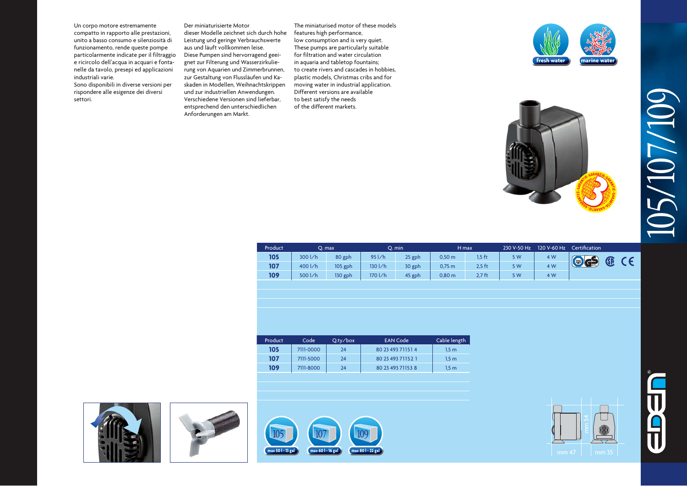Un corpo motore estremamente compatto in rapporto alle prestazioni, unito a basso consumo e silenziosità di funzionamento, rende queste pompe particolarmente indicate per il filtraggio e ricircolo dell'acqua in acquari e fontanelle da tavolo, presepi ed applicazioni industriali varie.

Sono disponibili in diverse versioni per rispondere alle esigenze dei diversi settori.

Der miniaturisierte Motor dieser Modelle zeichnet sich durch hohe Leistung und geringe Verbrauchswerte aus und läuft vollkommen leise. Diese Pumpen sind hervorragend geeignet zur Filterung und Wasserzirkulierung von Aquarien und Zimmerbrunnen, zur Gestaltung von Flussläufen und Kaskaden in Modellen, Weihnachtskrippen und zur industriellen Anwendungen. Verschiedene Versionen sind lieferbar, entsprechend den unterschiedlichen Anforderungen am Markt.

The miniaturised motor of these models features high performance, low consumption and is very quiet. These pumps are particularly suitable for filtration and water circulation in aquaria and tabletop fountains; to create rivers and cascades in hobbies, plastic models, Christmas cribs and for moving water in industrial application. Different versions are available to best satisfy the needs of the different markets.





| Product |         | O. max  |             | O. min |                    | H max    | 230 V-50 Hz | 120 V-60 Hz | Certification |   |  |
|---------|---------|---------|-------------|--------|--------------------|----------|-------------|-------------|---------------|---|--|
| 105     | 300 l/h | 80 gph  | 95 l/h      | 25 gph | 0.50 <sub>m</sub>  | $1.5$ ft | 5 W         | 4 W         | Code          | Œ |  |
| 107     | 400 l/h | 105 gph | 130 l/h     | 30 gph | $0,75 \, \text{m}$ | 2,5 ft   | 5 W         | 4 W         |               |   |  |
| 109     | 500 l/h | 130 gph | $170$ $1/h$ | 45 gph | $0,80 \; \text{m}$ | $2.7$ ft | 5 W         | 4 W         |               |   |  |

| 105<br>80 23 493 71151 4<br>7111-0000<br>24<br>1.5m<br>107<br>80 23 493 7115 2 1<br>7111-5000<br>24<br>1.5m | Cable length |
|-------------------------------------------------------------------------------------------------------------|--------------|
|                                                                                                             |              |
|                                                                                                             |              |
| 109<br>7111-8000<br>80 23 493 71153 8<br>24<br>1.5 <sub>m</sub>                                             |              |

**max 50 l - 13 gal max 60 l - 16 gal max 80 l - 22 gal**